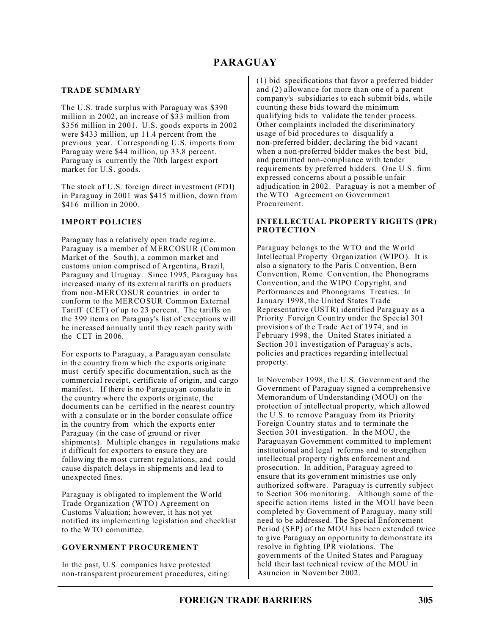# **PARAGUAY**

#### **TRADE SUMMARY**

The U.S. trade surplus with Paraguay was \$390 million in 2002, an increase of \$33 million from \$356 million in 2001. U.S. goods exports in 2002 were \$433 million, up 11.4 percent from the previous year. Corresponding U.S. imports from Paraguay were \$44 million, up 33.8 percent. Paraguay is currently the 70th largest export market for U.S. goods.

The stock of U.S. foreign direct investment (FDI) in Paraguay in 2001 was \$415 million, down from \$416 million in 2000.

### **IMPORT POLICIES**

Paraguay has a relatively open trade regime. Paraguay is a member of MERCOSUR (Common Market of the South), a common market and customs union comprised of Argentina, Brazil, Paraguay and Uruguay. Since 1995, Paraguay has increased many of its external tariffs on products from non-MERCOSUR countries in order to conform to the MERCOSUR Common External Tariff (CET) of up to 23 percent. The tariffs on the 399 items on Paraguay's list of exceptions will be increased annually until they reach parity with the CET in 2006.

For exports to Paraguay, a Paraguayan consulate in the country from which the exports originate must certify specific documentation, such as the commercial receipt, certificate of origin, and cargo manifest. If there is no Paraguayan consulate in the country where the exports originate, the documents can be certified in the nearest country with a consulate or in the border consulate office in the country from which the exports enter Paraguay (in the case of ground or river shipments). Multiple changes in regulations make it difficult for exporters to ensure they are following the most current regulations, and could cause dispatch delays in shipments and lead to unexpected fines.

Paraguay is obligated to implement the World Trade Organization (WTO) Agreement on Customs Valuation; however, it has not yet notified its implementing legislation and checklist to the WTO committee.

## **GOVERNMENT PROCUREMENT**

In the past, U.S. companies have protested non-transparent procurement procedures, citing: (1) bid specifications that favor a preferred bidder and (2) allowance for more than one of a parent company's subsidiaries to each submit bids, while counting these bids toward the minimum qualifying bids to validate the tender process. Other complaints included the discriminatory usage of bid procedures to disqualify a non-preferred bidder, declaring the bid vacant when a non-preferred bidder makes the best bid, and permitted non-compliance with tender requirements by preferred bidders. One U.S. firm expressed concerns about a possible unfair adjudication in 2002. Paraguay is not a member of the WTO Agreement on Government Procurement.

#### **INTELLECTUAL PROPERTY RIGHTS (IPR) PROTECTION**

Paraguay belongs to the WTO and the World Intellectual Property Organization (WIPO). It is also a signatory to the Paris Convention, Bern Convention, Rome Convention, the Phonograms Convention, and the WIPO Copyright, and Performances and Phonograms Treaties. In January 1998, the United States Trade Representative (USTR) identified Paraguay as a Priority Foreign Country under the Special 301 provisions of the Trade Act of 1974, and in February 1998, the United States initiated a Section 301 investigation of Paraguay's acts, policies and practices regarding intellectual property.

In November 1998, the U.S. Government and the Government of Paraguay signed a comprehensive Memorandum of Understanding (MOU) on the protection of intellectual property, which allowed the U.S. to remove Paraguay from its Priority Foreign Country status and to terminate the Section 301 investigation. In the MOU, the Paraguayan Government committed to implement institutional and legal reforms and to strengthen intellectual property rights enforcement and prosecution. In addition, Paraguay agreed to ensure that its government ministries use only authorized software. Paraguay is currently subject to Section 306 monitoring. Although some of the specific action items listed in the MOU have been completed by Government of Paraguay, many still need to be addressed. The Special Enforcement Period (SEP) of the MOU has been extended twice to give Paraguay an opportunity to demonstrate its resolve in fighting IPR violations. The governments of the United States and Paraguay held their last technical review of the MOU in Asuncion in November 2002.